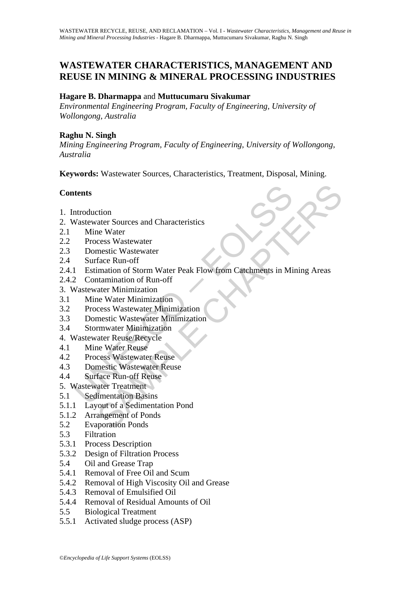## **WASTEWATER CHARACTERISTICS, MANAGEMENT AND REUSE IN MINING & MINERAL PROCESSING INDUSTRIES**

#### **Hagare B. Dharmappa** and **Muttucumaru Sivakumar**

*Environmental Engineering Program, Faculty of Engineering, University of Wollongong, Australia* 

#### **Raghu N. Singh**

*Mining Engineering Program, Faculty of Engineering, University of Wollongong, Australia* 

**Keywords:** Wastewater Sources, Characteristics, Treatment, Disposal, Mining.

## **Contents**

- 1. Introduction
- 2. Wastewater Sources and Characteristics
- 2.1 Mine Water
- 2.2 Process Wastewater
- 2.3 Domestic Wastewater
- 2.4 Surface Run-off
- ntroduction<br>
Mastewater Sources and Characteristics<br>
Mine Water<br>
Process Wastewater<br>
Domestic Wastewater<br>
Domestic Wastewater<br>
Surface Run-off<br>
1 Estimation of Storm Water Peak Flow from Catchments in Mi<br>
2 Contamination o compared and Characteristics<br>
the Water<br>
reass Wastewater<br>
reass Wastewater<br>
reass Wastewater<br>
mation of Storm Water Peak Flow from Catchments in Mining Areas<br>
reason than the Minimization<br>
reass Wastewater Minimization<br>
r 2.4.1 Estimation of Storm Water Peak Flow from Catchments in Mining Areas
- 2.4.2 Contamination of Run-off
- 3. Wastewater Minimization
- 3.1 Mine Water Minimization
- 3.2 Process Wastewater Minimization
- 3.3 Domestic Wastewater Minimization
- 3.4 Stormwater Minimization
- 4. Wastewater Reuse/Recycle
- 4.1 Mine Water Reuse
- 4.2 Process Wastewater Reuse
- 4.3 Domestic Wastewater Reuse
- 4.4 Surface Run-off Reuse
- 5. Wastewater Treatment
- 5.1 Sedimentation Basins
- 5.1.1 Layout of a Sedimentation Pond
- 5.1.2 Arrangement of Ponds
- 5.2 Evaporation Ponds
- 5.3 Filtration
- 5.3.1 Process Description
- 5.3.2 Design of Filtration Process
- 5.4 Oil and Grease Trap
- 5.4.1 Removal of Free Oil and Scum
- 5.4.2 Removal of High Viscosity Oil and Grease
- 5.4.3 Removal of Emulsified Oil
- 5.4.4 Removal of Residual Amounts of Oil
- 5.5 Biological Treatment
- 5.5.1 Activated sludge process (ASP)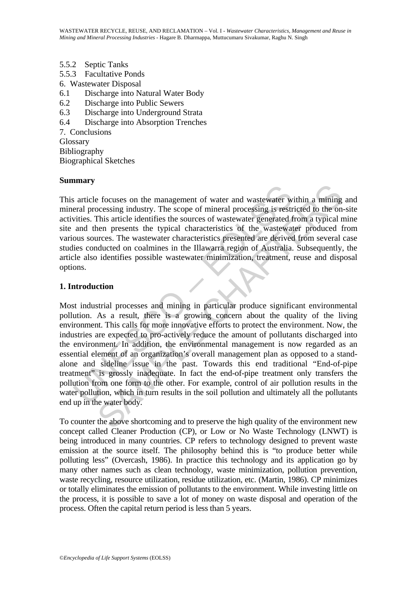- 5.5.2 Septic Tanks
- 5.5.3 Facultative Ponds
- 6. Wastewater Disposal
- 6.1 Discharge into Natural Water Body
- 6.2 Discharge into Public Sewers
- 6.3 Discharge into Underground Strata
- 6.4 Discharge into Absorption Trenches

7. Conclusions Glossary

Bibliography

Biographical Sketches

#### **Summary**

This article focuses on the management of water and wastewater within a mining and mineral processing industry. The scope of mineral processing is restricted to the on-site activities. This article identifies the sources of wastewater generated from a typical mine site and then presents the typical characteristics of the wastewater produced from various sources. The wastewater characteristics presented are derived from several case studies conducted on coalmines in the Illawarra region of Australia. Subsequently, the article also identifies possible wastewater minimization, treatment, reuse and disposal options.

#### **1. Introduction**

s article focuses on the management of water and wastewater wittes. This article identifies the sources of wastewater generated and then presents the sources of wastewater generated and onen sources. The wastewater charact E focuses on the management of water and wastewater within a mining<br>ocessing industry. The scope of mineral processing is restricted to the on<br>This article identifies the sources of wastewater generated from a typical r<br>le Most industrial processes and mining in particular produce significant environmental pollution. As a result, there is a growing concern about the quality of the living environment. This calls for more innovative efforts to protect the environment. Now, the industries are expected to pro-actively reduce the amount of pollutants discharged into the environment. In addition, the environmental management is now regarded as an essential element of an organization's overall management plan as opposed to a standalone and sideline issue in the past. Towards this end traditional "End-of-pipe treatment" is grossly inadequate. In fact the end-of-pipe treatment only transfers the pollution from one form to the other. For example, control of air pollution results in the water pollution, which in turn results in the soil pollution and ultimately all the pollutants end up in the water body.

To counter the above shortcoming and to preserve the high quality of the environment new concept called Cleaner Production (CP), or Low or No Waste Technology (LNWT) is being introduced in many countries. CP refers to technology designed to prevent waste emission at the source itself. The philosophy behind this is "to produce better while polluting less" (Overcash, 1986). In practice this technology and its application go by many other names such as clean technology, waste minimization, pollution prevention, waste recycling, resource utilization, residue utilization, etc. (Martin, 1986). CP minimizes or totally eliminates the emission of pollutants to the environment. While investing little on the process, it is possible to save a lot of money on waste disposal and operation of the process. Often the capital return period is less than 5 years.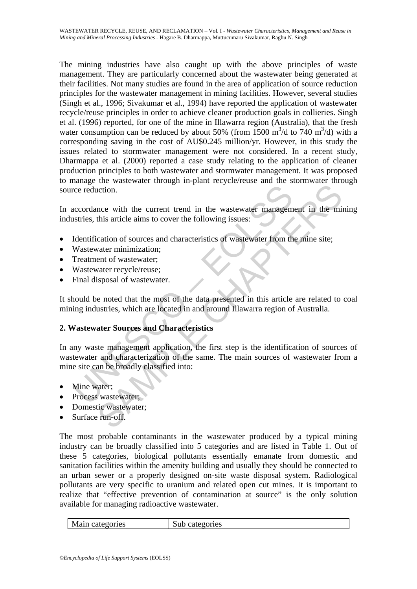The mining industries have also caught up with the above principles of waste management. They are particularly concerned about the wastewater being generated at their facilities. Not many studies are found in the area of application of source reduction principles for the wastewater management in mining facilities. However, several studies (Singh et al., 1996; Sivakumar et al., 1994) have reported the application of wastewater recycle/reuse principles in order to achieve cleaner production goals in collieries. Singh et al. (1996) reported, for one of the mine in Illawarra region (Australia), that the fresh water consumption can be reduced by about 50% (from 1500  $\text{m}^3/\text{d}$  to 740  $\text{m}^3/\text{d}$ ) with a corresponding saving in the cost of AU\$0.245 million/yr. However, in this study the issues related to stormwater management were not considered. In a recent study, Dharmappa et al. (2000) reported a case study relating to the application of cleaner production principles to both wastewater and stormwater management. It was proposed to manage the wastewater through in-plant recycle/reuse and the stormwater through source reduction.

In accordance with the current trend in the wastewater management in the mining industries, this article aims to cover the following issues:

- Identification of sources and characteristics of wastewater from the mine site;
- Wastewater minimization;
- Treatment of wastewater;
- Wastewater recycle/reuse;
- Final disposal of wastewater.

It should be noted that the most of the data presented in this article are related to coal mining industries, which are located in and around Illawarra region of Australia.

## **2. Wastewater Sources and Characteristics**

The reduction.<br>
Cocordance with the current trend in the wastewater managem<br>
Stries, this article aims to cover the following issues:<br>
Identification of sources and characteristics of wastewater from the<br>
Wastewater minimi notion.<br>
Internal and the current trend in the wastewater management in the ministance<br>
this article aims to cover the following issues:<br>
cation of sources and characteristics of wastewater from the mine site;<br>
cater minim In any waste management application, the first step is the identification of sources of wastewater and characterization of the same. The main sources of wastewater from a mine site can be broadly classified into:

- Mine water:
- Process wastewater;
- Domestic wastewater;
- Surface run-off.

The most probable contaminants in the wastewater produced by a typical mining industry can be broadly classified into 5 categories and are listed in Table 1. Out of these 5 categories, biological pollutants essentially emanate from domestic and sanitation facilities within the amenity building and usually they should be connected to an urban sewer or a properly designed on-site waste disposal system. Radiological pollutants are very specific to uranium and related open cut mines. It is important to realize that "effective prevention of contamination at source" is the only solution available for managing radioactive wastewater.

| Main categories | Sub categories |
|-----------------|----------------|
|                 |                |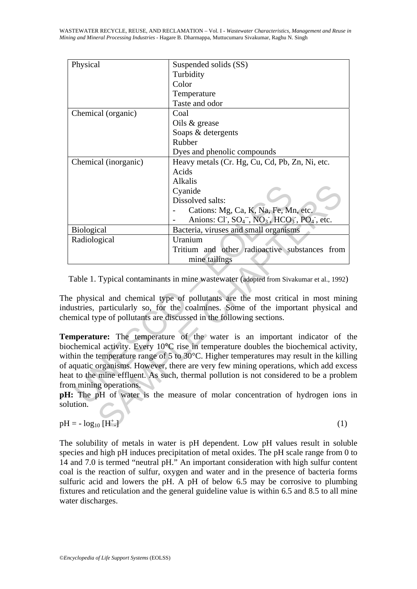| Physical                                                                  | Suspended solids (SS)                                                                                      |  |
|---------------------------------------------------------------------------|------------------------------------------------------------------------------------------------------------|--|
|                                                                           | Turbidity                                                                                                  |  |
|                                                                           | Color                                                                                                      |  |
|                                                                           | Temperature                                                                                                |  |
|                                                                           | Taste and odor                                                                                             |  |
| Chemical (organic)                                                        | Coal                                                                                                       |  |
|                                                                           | Oils & grease                                                                                              |  |
|                                                                           | Soaps & detergents                                                                                         |  |
|                                                                           | Rubber                                                                                                     |  |
|                                                                           | Dyes and phenolic compounds                                                                                |  |
| Chemical (inorganic)                                                      | Heavy metals (Cr. Hg, Cu, Cd, Pb, Zn, Ni, etc.                                                             |  |
|                                                                           | Acids                                                                                                      |  |
|                                                                           | Alkalis                                                                                                    |  |
|                                                                           | Cyanide                                                                                                    |  |
|                                                                           | Dissolved salts:                                                                                           |  |
|                                                                           | Cations: Mg, Ca, K, Na, Fe, Mn, etc.                                                                       |  |
|                                                                           | Anions: $CI^{\dagger}$ , $SO_4^{\dagger}$ , $NO_3^{\dagger}$ , $HCO_3^{\dagger}$ , $PO_4^{\dagger}$ , etc. |  |
| <b>Biological</b>                                                         | Bacteria, viruses and small organisms                                                                      |  |
| Radiological                                                              | Uranium                                                                                                    |  |
|                                                                           | Tritium and other radioactive substances from                                                              |  |
|                                                                           | mine tailings                                                                                              |  |
|                                                                           |                                                                                                            |  |
|                                                                           | Table 1. Typical contaminants in mine wastewater (adopted from Sivakumar et al., 1992)                     |  |
|                                                                           |                                                                                                            |  |
|                                                                           | e physical and chemical type of pollutants are the most critical in most mini-                             |  |
|                                                                           | dustries, particularly so, for the coalmines. Some of the important physical and                           |  |
|                                                                           | emical type of pollutants are discussed in the following sections.                                         |  |
|                                                                           |                                                                                                            |  |
|                                                                           | emperature: The temperature of the water is an important indicator of t                                    |  |
|                                                                           | ochemical activity. Every 10°C rise in temperature doubles the biochemical activity                        |  |
|                                                                           | thin the temperature range of 5 to $30^{\circ}$ C. Higher temperatures may result in the killing           |  |
|                                                                           | aquatic organisms. However, there are very few mining operations, which add exce                           |  |
|                                                                           | at to the mine effluent. As such, thermal pollution is not considered to be a proble                       |  |
| om mining operations.                                                     |                                                                                                            |  |
| I: The pH of water is the measure of molar concentration of hydrogen ions |                                                                                                            |  |
| lution.                                                                   |                                                                                                            |  |
|                                                                           |                                                                                                            |  |
| $I = -\log_{10}[H^+].$                                                    | (1)                                                                                                        |  |
|                                                                           |                                                                                                            |  |

The physical and chemical type of pollutants are the most critical in most mining industries, particularly so, for the coalmines. Some of the important physical and chemical type of pollutants are discussed in the following sections.

**Temperature:** The temperature of the water is an important indicator of the biochemical activity. Every 10°C rise in temperature doubles the biochemical activity, within the temperature range of 5 to 30<sup>o</sup>C. Higher temperatures may result in the killing of aquatic organisms. However, there are very few mining operations, which add excess heat to the mine effluent. As such, thermal pollution is not considered to be a problem from mining operations.

**pH:** The pH of water is the measure of molar concentration of hydrogen ions in solution.

$$
pH = -\log_{10}[H^+]
$$

The solubility of metals in water is pH dependent. Low pH values result in soluble species and high pH induces precipitation of metal oxides. The pH scale range from 0 to 14 and 7.0 is termed "neutral pH." An important consideration with high sulfur content coal is the reaction of sulfur, oxygen and water and in the presence of bacteria forms sulfuric acid and lowers the pH. A pH of below 6.5 may be corrosive to plumbing fixtures and reticulation and the general guideline value is within 6.5 and 8.5 to all mine water discharges.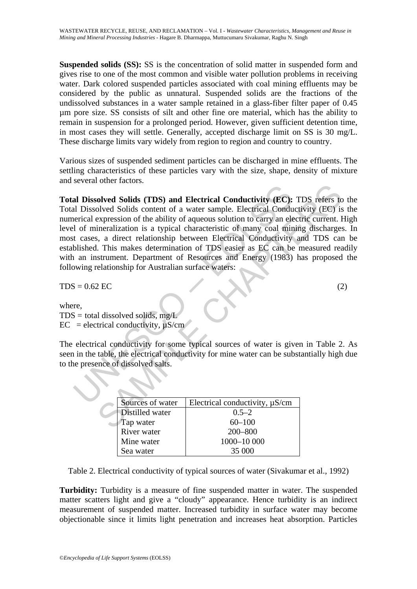**Suspended solids (SS):** SS is the concentration of solid matter in suspended form and gives rise to one of the most common and visible water pollution problems in receiving water. Dark colored suspended particles associated with coal mining effluents may be considered by the public as unnatural. Suspended solids are the fractions of the undissolved substances in a water sample retained in a glass-fiber filter paper of 0.45 µm pore size. SS consists of silt and other fine ore material, which has the ability to remain in suspension for a prolonged period. However, given sufficient detention time, in most cases they will settle. Generally, accepted discharge limit on SS is 30 mg/L. These discharge limits vary widely from region to region and country to country.

Various sizes of suspended sediment particles can be discharged in mine effluents. The settling characteristics of these particles vary with the size, shape, density of mixture and several other factors.

**al Dissolved Solids (TDS) and Electrical Conductivity (EC):**<br>
al Dissolved Solids content of a water sample. Electrical Conduction<br>
electrical expression of the ability of aqueous solution to carry an electrical expressi Final conductivity (EC): TDS refers to<br>olved Solids (TDS) and Electrical Conductivity (EC): TDS refers to<br>olved Solids content of a water sample. Electrical Conductivity (EC) is<br>expression of the ability of aqueous soluti **Total Dissolved Solids (TDS) and Electrical Conductivity (EC):** TDS refers to the Total Dissolved Solids content of a water sample. Electrical Conductivity (EC) is the numerical expression of the ability of aqueous solution to carry an electric current. High level of mineralization is a typical characteristic of many coal mining discharges. In most cases, a direct relationship between Electrical Conductivity and TDS can be established. This makes determination of TDS easier as EC can be measured readily with an instrument. Department of Resources and Energy (1983) has proposed the following relationship for Australian surface waters:

 $TDS = 0.62 \text{ EC}$  (2)

where,

 $TDS =$  total dissolved solids, mg/L  $EC = electrical conductivity, \mu S/cm$ 

The electrical conductivity for some typical sources of water is given in Table 2. As seen in the table, the electrical conductivity for mine water can be substantially high due to the presence of dissolved salts.

| Sources of water | Electrical conductivity, $\mu$ S/cm |
|------------------|-------------------------------------|
| Distilled water  | $0.5 - 2$                           |
| Tap water        | $60 - 100$                          |
| River water      | $200 - 800$                         |
| Mine water       | 1000-10 000                         |
| Sea water        | 35.000                              |

Table 2. Electrical conductivity of typical sources of water (Sivakumar et al., 1992)

**Turbidity:** Turbidity is a measure of fine suspended matter in water. The suspended matter scatters light and give a "cloudy" appearance. Hence turbidity is an indirect measurement of suspended matter. Increased turbidity in surface water may become objectionable since it limits light penetration and increases heat absorption. Particles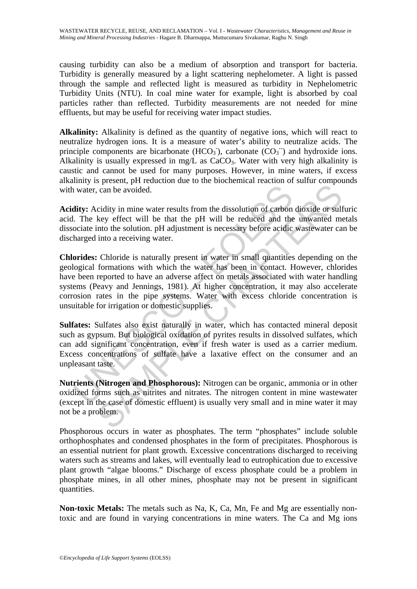causing turbidity can also be a medium of absorption and transport for bacteria. Turbidity is generally measured by a light scattering nephelometer. A light is passed through the sample and reflected light is measured as turbidity in Nephelometric Turbidity Units (NTU). In coal mine water for example, light is absorbed by coal particles rather than reflected. Turbidity measurements are not needed for mine effluents, but may be useful for receiving water impact studies.

**Alkalinity:** Alkalinity is defined as the quantity of negative ions, which will react to neutralize hydrogen ions. It is a measure of water's ability to neutralize acids. The principle components are bicarbonate  $(HCO<sub>3</sub>)$ , carbonate  $CO<sub>3</sub>$ ) and hydroxide ions. Alkalinity is usually expressed in mg/L as  $CaCO<sub>3</sub>$ . Water with very high alkalinity is caustic and cannot be used for many purposes. However, in mine waters, if excess alkalinity is present, pH reduction due to the biochemical reaction of sulfur compounds with water, can be avoided.

**Acidity:** Acidity in mine water results from the dissolution of carbon dioxide or sulfuric acid. The key effect will be that the pH will be reduced and the unwanted metals dissociate into the solution. pH adjustment is necessary before acidic wastewater can be discharged into a receiving water.

In water, can be avoided.<br>
Il water, can be avoided.<br>
I. The key effect will be that the pH will be reduced and the into the solution. pH adjustment is necessary before acidic harged into a receiving water.<br>
In a harged in From the avoided.<br>
Can be avoided.<br>
Can be avoided.<br>
Can be avoided.<br>
Can be avoided.<br>
Can be avoided.<br>
Let the pH will be reduced and the unwanted method method. DH adjustment is necessary before acidic wastewater ca<br>
int **Chlorides:** Chloride is naturally present in water in small quantities depending on the geological formations with which the water has been in contact. However, chlorides have been reported to have an adverse affect on metals associated with water handling systems (Peavy and Jennings, 1981). At higher concentration, it may also accelerate corrosion rates in the pipe systems. Water with excess chloride concentration is unsuitable for irrigation or domestic supplies.

**Sulfates:** Sulfates also exist naturally in water, which has contacted mineral deposit such as gypsum. But biological oxidation of pyrites results in dissolved sulfates, which can add significant concentration, even if fresh water is used as a carrier medium. Excess concentrations of sulfate have a laxative effect on the consumer and an unpleasant taste.

**Nutrients (Nitrogen and Phosphorous):** Nitrogen can be organic, ammonia or in other oxidized forms such as nitrites and nitrates. The nitrogen content in mine wastewater (except in the case of domestic effluent) is usually very small and in mine water it may not be a problem.

Phosphorous occurs in water as phosphates. The term "phosphates" include soluble orthophosphates and condensed phosphates in the form of precipitates. Phosphorous is an essential nutrient for plant growth. Excessive concentrations discharged to receiving waters such as streams and lakes, will eventually lead to eutrophication due to excessive plant growth "algae blooms." Discharge of excess phosphate could be a problem in phosphate mines, in all other mines, phosphate may not be present in significant quantities.

**Non-toxic Metals:** The metals such as Na, K, Ca, Mn, Fe and Mg are essentially nontoxic and are found in varying concentrations in mine waters. The Ca and Mg ions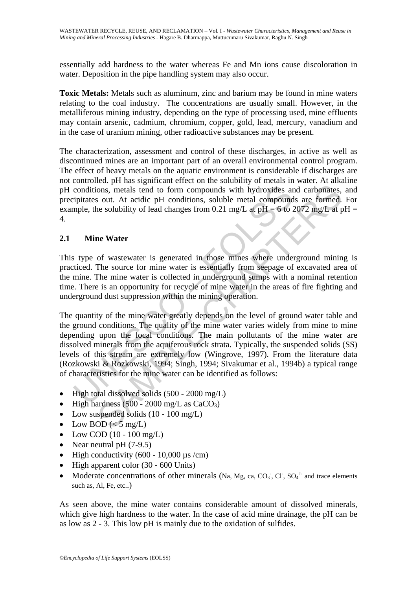essentially add hardness to the water whereas Fe and Mn ions cause discoloration in water. Deposition in the pipe handling system may also occur.

**Toxic Metals:** Metals such as aluminum, zinc and barium may be found in mine waters relating to the coal industry. The concentrations are usually small. However, in the metalliferous mining industry, depending on the type of processing used, mine effluents may contain arsenic, cadmium, chromium, copper, gold, lead, mercury, vanadium and in the case of uranium mining, other radioactive substances may be present.

The characterization, assessment and control of these discharges, in active as well as discontinued mines are an important part of an overall environmental control program. The effect of heavy metals on the aquatic environment is considerable if discharges are not controlled. pH has significant effect on the solubility of metals in water. At alkaline pH conditions, metals tend to form compounds with hydroxides and carbonates, and precipitates out. At acidic pH conditions, soluble metal compounds are formed. For example, the solubility of lead changes from 0.21 mg/L at  $pH = 6$  to 2072 mg/L at  $pH =$ 4.

## **2.1 Mine Water**

This type of wastewater is generated in those mines where underground mining is practiced. The source for mine water is essentially from seepage of excavated area of the mine. The mine water is collected in underground sumps with a nominal retention time. There is an opportunity for recycle of mine water in the areas of fire fighting and underground dust suppression within the mining operation.

conditions, metals tend to form compounds with hydroxides are pricates out. At acidic pH conditions, soluble metal compound<br>mple, the solubility of lead changes from 0.21 mg/L at pH = 6 to 2<br>**Mine Water**<br>stype of wastewat ons, metals tend to form compounds with hydroxides and carbonates,<br>ons, metals tend to form compounds with hydroxides and carbonates,<br>s out. At acidic pH conditions, soluble metal compounds are formed.<br>the solubility of l The quantity of the mine water greatly depends on the level of ground water table and the ground conditions. The quality of the mine water varies widely from mine to mine depending upon the local conditions. The main pollutants of the mine water are dissolved minerals from the aquiferous rock strata. Typically, the suspended solids (SS) levels of this stream are extremely low (Wingrove, 1997). From the literature data (Rozkowski & Rozkowski, 1994; Singh, 1994; Sivakumar et al., 1994b) a typical range of characteristics for the mine water can be identified as follows:

- High total dissolved solids (500 2000 mg/L)
- High hardness  $(500 2000 \text{ mg/L as } CaCO<sub>3</sub>)$
- Low suspended solids (10 100 mg/L)
- Low BOD ( $\leq 5$  mg/L)
- Low COD  $(10 100 \text{ mg/L})$
- Near neutral pH  $(7-9.5)$
- High conductivity  $(600 10,000 \,\mu s/cm)$
- High apparent color (30 600 Units)
- Moderate concentrations of other minerals (Na, Mg, ca,  $CO_3$ ; Cl,  $SO_4^2$  and trace elements such as, Al, Fe, etc..)

As seen above, the mine water contains considerable amount of dissolved minerals, which give high hardness to the water. In the case of acid mine drainage, the pH can be as low as 2 - 3. This low pH is mainly due to the oxidation of sulfides.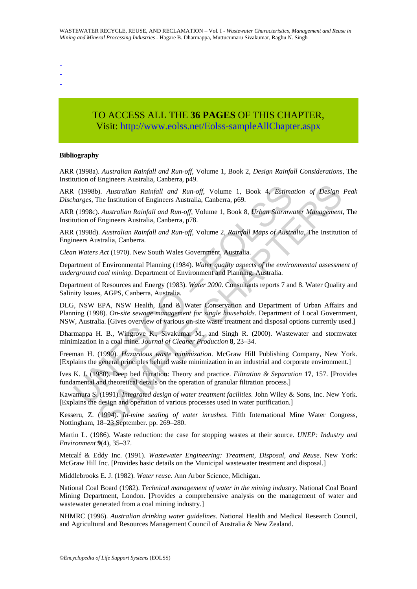- -

-

# TO ACCESS ALL THE **36 PAGES** OF THIS CHAPTER, Visit[: http://www.eolss.net/Eolss-sampleAllChapter.aspx](https://www.eolss.net/ebooklib/sc_cart.aspx?File=E2-14-02-06)

#### **Bibliography**

ARR (1998a). *Australian Rainfall and Run-off*, Volume 1, Book 2, *Design Rainfall Considerations*, The Institution of Engineers Australia, Canberra, p49.

ARR (1998b). *Australian Rainfall and Run-off*, Volume 1, Book 4, *Estimation of Design Peak Discharges*, The Institution of Engineers Australia, Canberra, p69.

ARR (1998c). *Australian Rainfall and Run-off*, Volume 1, Book 8, *Urban Stormwater Management*, The Institution of Engineers Australia, Canberra, p78.

ARR (1998d). *Australian Rainfall and Run-off*, Volume 2, *Rainfall Maps of Australia*, The Institution of Engineers Australia, Canberra.

*Clean Waters Act* (1970). New South Wales Government, Australia.

Department of Environmental Planning (1984). *Water quality aspects of the environmental assessment of underground coal mining*. Department of Environment and Planning, Australia.

Department of Resources and Energy (1983). *Water 2000*. Consultants reports 7 and 8. Water Quality and Salinity Issues, AGPS, Canberra, Australia.

(1998b). Australian Rainfall and Run-off, Volume 1, Book 4, Estima<br>harges, The Institution of Engineers Australia, Canberra, p69.<br>
(1998c). Australian Rainfall and Run-off, Volume 1, Book 8, Urban Stormwation of Engineers b). Australian Rainfall and Run-off, Volume 1, Book 4, Estimation of Design<br>The Institution of Engineers Australia, Canberra, p69.<br>
Australian Rainfall and Run-off, Volume 1, Book 8, Urban Siornwater Management<br>
Engineers DLG, NSW EPA, NSW Health, Land & Water Conservation and Department of Urban Affairs and Planning (1998). *On-site sewage management for single households*. Department of Local Government, NSW, Australia. [Gives overview of various on-site waste treatment and disposal options currently used.]

Dharmappa H. B., Wingrove K., Sivakumar M., and Singh R. (2000). Wastewater and stormwater minimization in a coal mine. *Journal of Cleaner Production* **8**, 23–34.

Freeman H. (1990). *Hazardous waste minimization*. McGraw Hill Publishing Company, New York. [Explains the general principles behind waste minimization in an industrial and corporate environment.]

Ives K. J. (1980). Deep bed filtration: Theory and practice. *Filtration & Separation* **17**, 157. [Provides fundamental and theoretical details on the operation of granular filtration process.]

Kawamura S. (1991)*. Integrated design of water treatment facilities*. John Wiley & Sons, Inc. New York. [Explains the design and operation of various processes used in water purification.]

Kesseru, Z. (1994). *In-mine sealing of water inrushes*. Fifth International Mine Water Congress, Nottingham, 18–23 September. pp. 269–280.

Martin L. (1986). Waste reduction: the case for stopping wastes at their source. *UNEP: Industry and Environment* **9**(4), 35–37.

Metcalf & Eddy Inc. (1991). *Wastewater Engineering: Treatment, Disposal, and Reuse*. New York: McGraw Hill Inc. [Provides basic details on the Municipal wastewater treatment and disposal.]

Middlebrooks E. J. (1982). *Water reuse*. Ann Arbor Science, Michigan.

National Coal Board (1982). *Technical management of water in the mining industry*. National Coal Board Mining Department, London. [Provides a comprehensive analysis on the management of water and wastewater generated from a coal mining industry.]

NHMRC (1996). *Australian drinking water guidelines*. National Health and Medical Research Council, and Agricultural and Resources Management Council of Australia & New Zealand.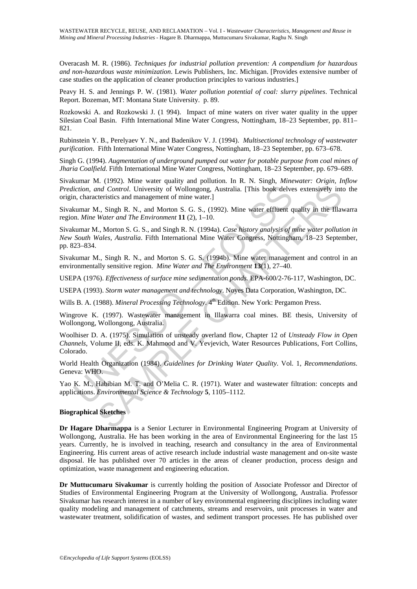Overacash M. R. (1986). *Techniques for industrial pollution prevention: A compendium for hazardous and non-hazardous waste minimization*. Lewis Publishers, Inc. Michigan. [Provides extensive number of case studies on the application of cleaner production principles to various industries.]

Peavy H. S. and Jennings P. W. (1981). *Water pollution potential of coal: slurry pipelines*. Technical Report. Bozeman, MT: Montana State University. p. 89.

Rozkowski A. and Rozkowski J. (1 994). Impact of mine waters on river water quality in the upper Silesian Coal Basin. Fifth International Mine Water Congress, Nottingham, 18–23 September, pp. 811– 821.

Rubinstein Y. B., Perelyaev Y. N., and Badenikov V. J. (1994). *Multisectional technology of wastewater purification*. Fifth International Mine Water Congress, Nottingham, 18–23 September, pp. 673–678.

Singh G. (1994). *Augmentation of underground pumped out water for potable purpose from coal mines of Jharia Coalfield*. Fifth International Mine Water Congress, Nottingham, 18–23 September, pp. 679–689.

Sivakumar M. (1992). Mine water quality and pollution. In R. N. Singh, *Minewater: Origin, Inflow Prediction, and Control*. University of Wollongong, Australia. [This book delves extensively into the origin, characteristics and management of mine water.]

Sivakumar M., Singh R. N., and Morton S. G. S., (1992). Mine water effluent quality in the Illawarra region. *Mine Water and The Environment* **11** (2), 1–10.

iction, and Control. University of Wollongong, Australia. [This book delven, characteristics and management of mine water.]<br>
n, characteristics and management of mine water.]<br>
h, mine Water effluent q, Morton S. G. S. (19 All Control. University of Wollongong, Australia. [This book delves extensively intersective and management of mine water.]<br> *Mal Control.* University of Wollongong, Australia. [This book delves extensively interstincts an Sivakumar M., Morton S. G. S., and Singh R. N. (1994a). *Case history analysis of mine water pollution in New South Wales, Australia*. Fifth International Mine Water Congress, Nottingham, 18–23 September, pp. 823–834.

Sivakumar M., Singh R. N., and Morton S. G. S. (1994b). Mine water management and control in an environmentally sensitive region. *Mine Water and The Environment* **13**(1), 27–40.

USEPA (1976). *Effectiveness of surface mine sedimentation ponds*. EPA-600/2-76-117, Washington, DC.

USEPA (1993). *Storm water management and technology*. Noyes Data Corporation, Washington, DC.

Wills B. A. (1988). *Mineral Processing Technology*. 4<sup>th</sup> Edition. New York: Pergamon Press.

Wingrove K. (1997). Wastewater management in Illawarra coal mines. BE thesis, University of Wollongong, Wollongong, Australia.

Woolhiser D. A. (1975). Simulation of unsteady overland flow, Chapter 12 of *Unsteady Flow in Open Channels*, Volume II, eds. K. Mahmood and V. Yevjevich, Water Resources Publications, Fort Collins, Colorado.

World Health Organization (1984). *Guidelines for Drinking Water Quality*. Vol. 1, *Recommendations*. Geneva: WHO.

Yao K. M., Habibian M. T. and O'Melia C. R. (1971). Water and wastewater filtration: concepts and applications. *Environmental Science & Technology* **5**, 1105–1112.

#### **Biographical Sketches**

**Dr Hagare Dharmappa** is a Senior Lecturer in Environmental Engineering Program at University of Wollongong, Australia. He has been working in the area of Environmental Engineering for the last 15 years. Currently, he is involved in teaching, research and consultancy in the area of Environmental Engineering. His current areas of active research include industrial waste management and on-site waste disposal. He has published over 70 articles in the areas of cleaner production, process design and optimization, waste management and engineering education.

**Dr Muttucumaru Sivakumar** is currently holding the position of Associate Professor and Director of Studies of Environmental Engineering Program at the University of Wollongong, Australia. Professor Sivakumar has research interest in a number of key environmental engineering disciplines including water quality modeling and management of catchments, streams and reservoirs, unit processes in water and wastewater treatment, solidification of wastes, and sediment transport processes. He has published over